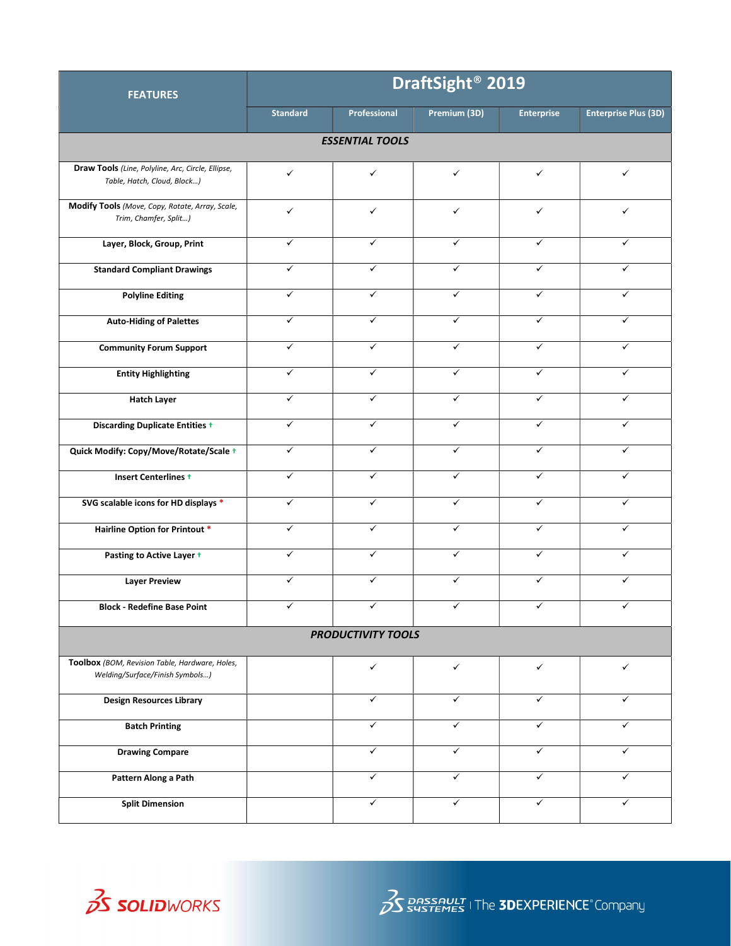| <b>FEATURES</b>                                                                   | DraftSight <sup>®</sup> 2019 |                     |              |                   |                             |  |  |  |  |
|-----------------------------------------------------------------------------------|------------------------------|---------------------|--------------|-------------------|-----------------------------|--|--|--|--|
|                                                                                   | <b>Standard</b>              | <b>Professional</b> | Premium (3D) | <b>Enterprise</b> | <b>Enterprise Plus (3D)</b> |  |  |  |  |
| <b>ESSENTIAL TOOLS</b>                                                            |                              |                     |              |                   |                             |  |  |  |  |
| Draw Tools (Line, Polyline, Arc, Circle, Ellipse,<br>Table, Hatch, Cloud, Block)  | $\checkmark$                 | ✓                   | $\checkmark$ | $\checkmark$      | ✓                           |  |  |  |  |
| Modify Tools (Move, Copy, Rotate, Array, Scale,<br>Trim, Chamfer, Split)          | $\checkmark$                 | ✓                   | $\checkmark$ | $\checkmark$      | ✓                           |  |  |  |  |
| Layer, Block, Group, Print                                                        | ✓                            | ✓                   | ✓            | ✓                 | ✓                           |  |  |  |  |
| <b>Standard Compliant Drawings</b>                                                | $\checkmark$                 | ✓                   | $\checkmark$ | $\checkmark$      | ✓                           |  |  |  |  |
| <b>Polyline Editing</b>                                                           | $\checkmark$                 | ✓                   | $\checkmark$ | ✓                 | ✓                           |  |  |  |  |
| <b>Auto-Hiding of Palettes</b>                                                    | $\checkmark$                 | ✓                   | ✓            | ✓                 | ✓                           |  |  |  |  |
| <b>Community Forum Support</b>                                                    | $\checkmark$                 | ✓                   | ✓            | ✓                 | ✓                           |  |  |  |  |
| <b>Entity Highlighting</b>                                                        | ✓                            | ✓                   | $\checkmark$ | ✓                 | ✓                           |  |  |  |  |
| <b>Hatch Layer</b>                                                                | ✓                            | $\checkmark$        | $\checkmark$ | ✓                 | ✓                           |  |  |  |  |
| <b>Discarding Duplicate Entities +</b>                                            | $\checkmark$                 | ✓                   | $\checkmark$ | $\checkmark$      | ✓                           |  |  |  |  |
| Quick Modify: Copy/Move/Rotate/Scale +                                            | $\checkmark$                 | ✓                   | $\checkmark$ | ✓                 | ✓                           |  |  |  |  |
| <b>Insert Centerlines +</b>                                                       | ✓                            | ✓                   | $\checkmark$ | ✓                 | ✓                           |  |  |  |  |
| SVG scalable icons for HD displays *                                              | $\checkmark$                 | $\checkmark$        | $\checkmark$ | ✓                 | ✓                           |  |  |  |  |
| <b>Hairline Option for Printout *</b>                                             | $\checkmark$                 | ✓                   | $\checkmark$ | $\checkmark$      | $\checkmark$                |  |  |  |  |
| Pasting to Active Layer +                                                         | $\checkmark$                 | $\checkmark$        | $\checkmark$ | $\checkmark$      | ✓                           |  |  |  |  |
| <b>Layer Preview</b>                                                              | $\checkmark$                 | $\checkmark$        | $\checkmark$ | ✓                 | $\checkmark$                |  |  |  |  |
| <b>Block - Redefine Base Point</b>                                                |                              |                     |              |                   |                             |  |  |  |  |
| <b>PRODUCTIVITY TOOLS</b>                                                         |                              |                     |              |                   |                             |  |  |  |  |
| Toolbox (BOM, Revision Table, Hardware, Holes,<br>Welding/Surface/Finish Symbols) |                              | ✓                   | $\checkmark$ | $\checkmark$      | $\checkmark$                |  |  |  |  |
| <b>Design Resources Library</b>                                                   |                              | $\checkmark$        | $\checkmark$ | $\checkmark$      | ✓                           |  |  |  |  |
| <b>Batch Printing</b>                                                             |                              | $\checkmark$        | $\checkmark$ | $\checkmark$      | ✓                           |  |  |  |  |
| <b>Drawing Compare</b>                                                            |                              | $\checkmark$        | $\checkmark$ | $\checkmark$      | ✓                           |  |  |  |  |
| Pattern Along a Path                                                              |                              | ✓                   | $\checkmark$ | $\checkmark$      | ✓                           |  |  |  |  |
| <b>Split Dimension</b>                                                            |                              | $\checkmark$        | $\checkmark$ | ✓                 | $\checkmark$                |  |  |  |  |

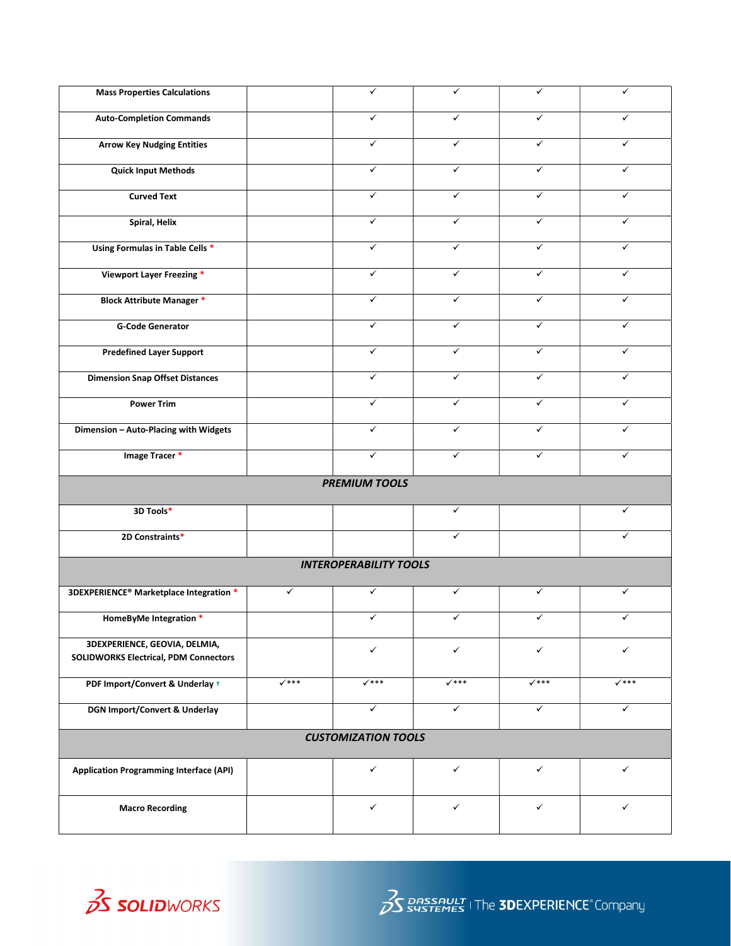|                  | ✓                             | ✓                | ✓                | ✓                |
|------------------|-------------------------------|------------------|------------------|------------------|
|                  |                               |                  |                  |                  |
|                  | $\checkmark$                  | ✓                | $\checkmark$     | $\checkmark$     |
|                  | ✓                             | ✓                | ✓                | $\checkmark$     |
|                  | $\checkmark$                  | $\checkmark$     | ✓                | $\checkmark$     |
|                  | $\checkmark$                  | ✓                | ✓                | $\checkmark$     |
|                  | ✓                             | ✓                | ✓                | ✓                |
|                  | $\checkmark$                  | $\checkmark$     | $\checkmark$     | $\checkmark$     |
|                  | $\checkmark$                  | ✓                | ✓                | $\checkmark$     |
|                  | $\checkmark$                  | ✓                | ✓                | ✓                |
|                  | $\checkmark$                  | ✓                | ✓                | $\checkmark$     |
|                  | ✓                             | ✓                | ✓                | ✓                |
|                  | $\checkmark$                  | ✓                | $\checkmark$     | $\checkmark$     |
|                  | ✓                             | ✓                | ✓                | $\checkmark$     |
|                  | $\checkmark$                  | $\checkmark$     | ✓                | $\checkmark$     |
|                  | $\checkmark$                  | ✓                | ✓                | ✓                |
|                  |                               |                  |                  |                  |
|                  | <b>PREMIUM TOOLS</b>          |                  |                  |                  |
|                  |                               | $\checkmark$     |                  | $\checkmark$     |
|                  |                               | ✓                |                  | ✓                |
|                  | <b>INTEROPERABILITY TOOLS</b> |                  |                  |                  |
| ✓                | ✓                             | ✓                | ✓                | ✓                |
|                  | ✓                             | ✓                | ✓                |                  |
|                  |                               |                  |                  |                  |
|                  | $\checkmark$                  | $\checkmark$     | $\checkmark$     | $\checkmark$     |
| $\checkmark$ *** | $\checkmark$ ***              | $\checkmark$ *** | $\checkmark$ *** | $\checkmark$ *** |
|                  | $\checkmark$                  | ✓                | ✓                | $\checkmark$     |
|                  | <b>CUSTOMIZATION TOOLS</b>    |                  |                  |                  |
|                  | $\checkmark$                  | $\checkmark$     | ✓                | $\checkmark$     |
|                  |                               |                  |                  |                  |